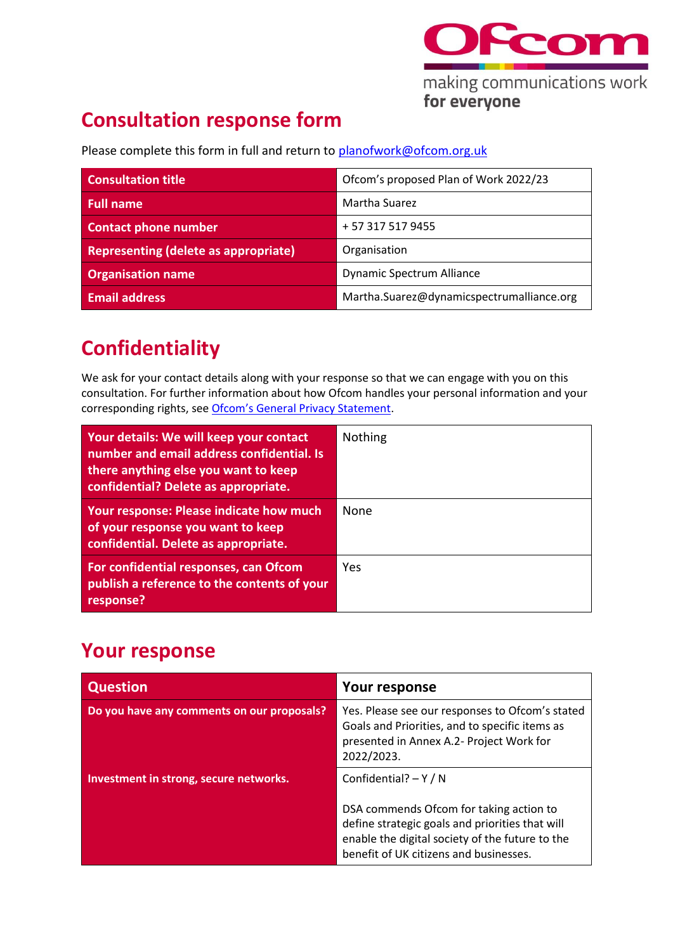

## **Consultation response form**

Please complete this form in full and return to [planofwork@ofcom.org.uk](mailto:planofwork@ofcom.org.uk)

| <b>Consultation title</b>            | Ofcom's proposed Plan of Work 2022/23     |
|--------------------------------------|-------------------------------------------|
| <b>Full name</b>                     | Martha Suarez                             |
| <b>Contact phone number</b>          | + 57 317 517 9455                         |
| Representing (delete as appropriate) | Organisation                              |
| <b>Organisation name</b>             | <b>Dynamic Spectrum Alliance</b>          |
| <b>Email address</b>                 | Martha.Suarez@dynamicspectrumalliance.org |

## **Confidentiality**

We ask for your contact details along with your response so that we can engage with you on this consultation. For further information about how Ofcom handles your personal information and your corresponding rights, see [Ofcom's General Privacy Statement](http://www.ofcom.org.uk/about-ofcom/foi-dp/general-privacy-statement).

| Your details: We will keep your contact<br>number and email address confidential. Is<br>there anything else you want to keep<br>confidential? Delete as appropriate. | <b>Nothing</b> |
|----------------------------------------------------------------------------------------------------------------------------------------------------------------------|----------------|
| Your response: Please indicate how much<br>of your response you want to keep<br>confidential. Delete as appropriate.                                                 | None           |
| For confidential responses, can Ofcom<br>publish a reference to the contents of your<br>response?                                                                    | Yes            |

## **Your response**

| <b>Question</b>                            | Your response                                                                                                                                                                                                   |
|--------------------------------------------|-----------------------------------------------------------------------------------------------------------------------------------------------------------------------------------------------------------------|
| Do you have any comments on our proposals? | Yes. Please see our responses to Ofcom's stated<br>Goals and Priorities, and to specific items as<br>presented in Annex A.2- Project Work for<br>2022/2023.                                                     |
| Investment in strong, secure networks.     | Confidential? $-Y/N$<br>DSA commends Ofcom for taking action to<br>define strategic goals and priorities that will<br>enable the digital society of the future to the<br>benefit of UK citizens and businesses. |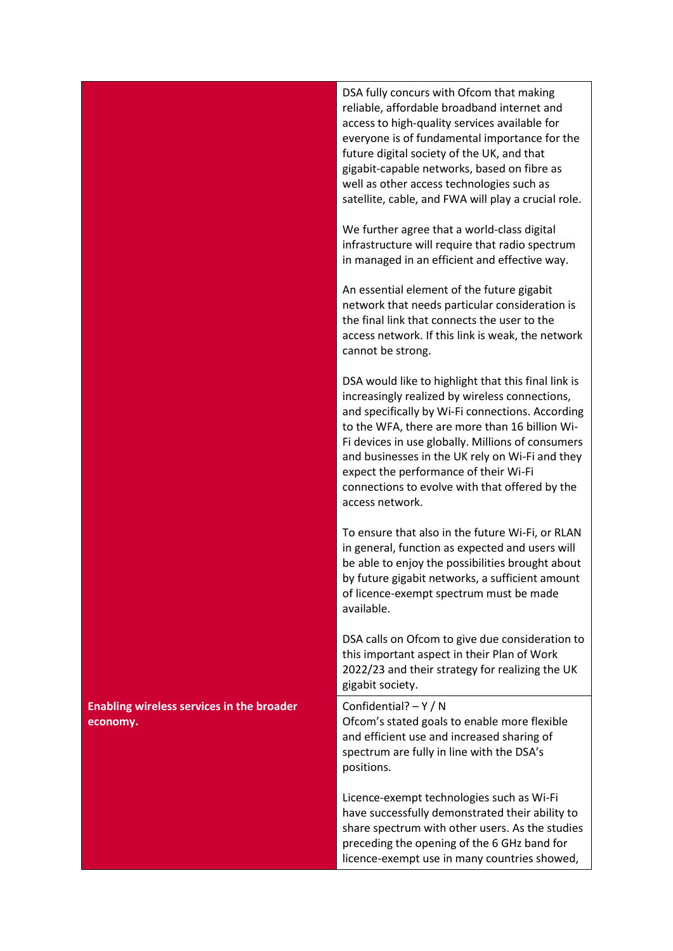|                                                              | DSA fully concurs with Ofcom that making<br>reliable, affordable broadband internet and<br>access to high-quality services available for<br>everyone is of fundamental importance for the<br>future digital society of the UK, and that<br>gigabit-capable networks, based on fibre as<br>well as other access technologies such as<br>satellite, cable, and FWA will play a crucial role.                                        |
|--------------------------------------------------------------|-----------------------------------------------------------------------------------------------------------------------------------------------------------------------------------------------------------------------------------------------------------------------------------------------------------------------------------------------------------------------------------------------------------------------------------|
|                                                              | We further agree that a world-class digital<br>infrastructure will require that radio spectrum<br>in managed in an efficient and effective way.                                                                                                                                                                                                                                                                                   |
|                                                              | An essential element of the future gigabit<br>network that needs particular consideration is<br>the final link that connects the user to the<br>access network. If this link is weak, the network<br>cannot be strong.                                                                                                                                                                                                            |
|                                                              | DSA would like to highlight that this final link is<br>increasingly realized by wireless connections,<br>and specifically by Wi-Fi connections. According<br>to the WFA, there are more than 16 billion Wi-<br>Fi devices in use globally. Millions of consumers<br>and businesses in the UK rely on Wi-Fi and they<br>expect the performance of their Wi-Fi<br>connections to evolve with that offered by the<br>access network. |
|                                                              | To ensure that also in the future Wi-Fi, or RLAN<br>in general, function as expected and users will<br>be able to enjoy the possibilities brought about<br>by future gigabit networks, a sufficient amount<br>of licence-exempt spectrum must be made<br>available.                                                                                                                                                               |
|                                                              | DSA calls on Ofcom to give due consideration to<br>this important aspect in their Plan of Work<br>2022/23 and their strategy for realizing the UK<br>gigabit society.                                                                                                                                                                                                                                                             |
| <b>Enabling wireless services in the broader</b><br>economy. | Confidential? $-Y/N$<br>Ofcom's stated goals to enable more flexible<br>and efficient use and increased sharing of<br>spectrum are fully in line with the DSA's<br>positions.                                                                                                                                                                                                                                                     |
|                                                              | Licence-exempt technologies such as Wi-Fi<br>have successfully demonstrated their ability to<br>share spectrum with other users. As the studies<br>preceding the opening of the 6 GHz band for<br>licence-exempt use in many countries showed,                                                                                                                                                                                    |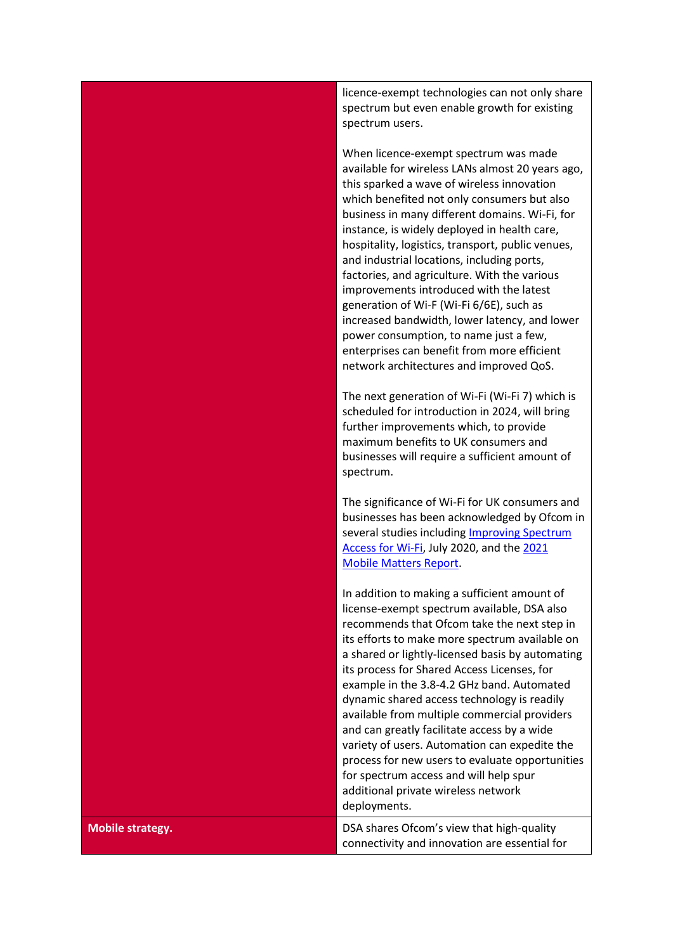licence-exempt technologies can not only share spectrum but even enable growth for existing spectrum users.

When licence-exempt spectrum was made available for wireless LANs almost 20 years ago, this sparked a wave of wireless innovation which benefited not only consumers but also business in many different domains. Wi-Fi, for instance, is widely deployed in health care, hospitality, logistics, transport, public venues, and industrial locations, including ports, factories, and agriculture. With the various improvements introduced with the latest generation of Wi-F (Wi-Fi 6/6E), such as increased bandwidth, lower latency, and lower power consumption, to name just a few, enterprises can benefit from more efficient network architectures and improved QoS.

The next generation of Wi-Fi (Wi-Fi 7) which is scheduled for introduction in 2024, will bring further improvements which, to provide maximum benefits to UK consumers and businesses will require a sufficient amount of spectrum.

The significance of Wi-Fi for UK consumers and businesses has been acknowledged by Ofcom in several studies including [Improving Spectrum](https://www.ofcom.org.uk/__data/assets/pdf_file/0036/198927/6ghz-statement.pdf)  [Access for Wi-Fi,](https://www.ofcom.org.uk/__data/assets/pdf_file/0036/198927/6ghz-statement.pdf) July 2020, and the [2021](https://www.ofcom.org.uk/__data/assets/pdf_file/0015/224070/mobile-matters-2021-report.pdf)  [Mobile Matters Report.](https://www.ofcom.org.uk/__data/assets/pdf_file/0015/224070/mobile-matters-2021-report.pdf)

In addition to making a sufficient amount of license-exempt spectrum available, DSA also recommends that Ofcom take the next step in its efforts to make more spectrum available on a shared or lightly-licensed basis by automating its process for Shared Access Licenses, for example in the 3.8-4.2 GHz band. Automated dynamic shared access technology is readily available from multiple commercial providers and can greatly facilitate access by a wide variety of users. Automation can expedite the process for new users to evaluate opportunities for spectrum access and will help spur additional private wireless network deployments.

**Mobile strategy. DETE IN STRATEGY CONSUMING STATES OF COMPANY STATES OF CONSUMING STATES OF CONSUMING STATES OF CONSUMING STATES OF CONSUMING STATES OF CONSUMING STATES OF CONSUMING STATES OF CONSUMING STATES OF CONSUMI** connectivity and innovation are essential for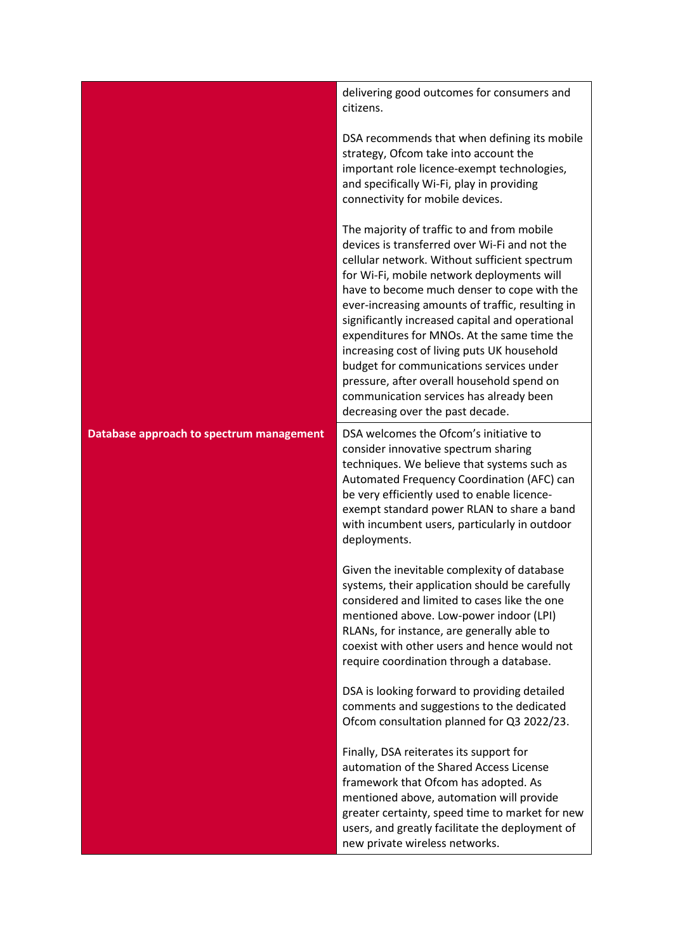|                                          | delivering good outcomes for consumers and<br>citizens.                                                                                                                                                                                                                                                                                                                                                                                                                                                                                                                                                                 |
|------------------------------------------|-------------------------------------------------------------------------------------------------------------------------------------------------------------------------------------------------------------------------------------------------------------------------------------------------------------------------------------------------------------------------------------------------------------------------------------------------------------------------------------------------------------------------------------------------------------------------------------------------------------------------|
|                                          | DSA recommends that when defining its mobile<br>strategy, Ofcom take into account the<br>important role licence-exempt technologies,<br>and specifically Wi-Fi, play in providing<br>connectivity for mobile devices.                                                                                                                                                                                                                                                                                                                                                                                                   |
|                                          | The majority of traffic to and from mobile<br>devices is transferred over Wi-Fi and not the<br>cellular network. Without sufficient spectrum<br>for Wi-Fi, mobile network deployments will<br>have to become much denser to cope with the<br>ever-increasing amounts of traffic, resulting in<br>significantly increased capital and operational<br>expenditures for MNOs. At the same time the<br>increasing cost of living puts UK household<br>budget for communications services under<br>pressure, after overall household spend on<br>communication services has already been<br>decreasing over the past decade. |
| Database approach to spectrum management | DSA welcomes the Ofcom's initiative to<br>consider innovative spectrum sharing<br>techniques. We believe that systems such as<br>Automated Frequency Coordination (AFC) can<br>be very efficiently used to enable licence-<br>exempt standard power RLAN to share a band<br>with incumbent users, particularly in outdoor<br>deployments.                                                                                                                                                                                                                                                                               |
|                                          | Given the inevitable complexity of database<br>systems, their application should be carefully<br>considered and limited to cases like the one<br>mentioned above. Low-power indoor (LPI)<br>RLANs, for instance, are generally able to<br>coexist with other users and hence would not<br>require coordination through a database.                                                                                                                                                                                                                                                                                      |
|                                          | DSA is looking forward to providing detailed<br>comments and suggestions to the dedicated<br>Ofcom consultation planned for Q3 2022/23.                                                                                                                                                                                                                                                                                                                                                                                                                                                                                 |
|                                          | Finally, DSA reiterates its support for<br>automation of the Shared Access License<br>framework that Ofcom has adopted. As<br>mentioned above, automation will provide<br>greater certainty, speed time to market for new<br>users, and greatly facilitate the deployment of<br>new private wireless networks.                                                                                                                                                                                                                                                                                                          |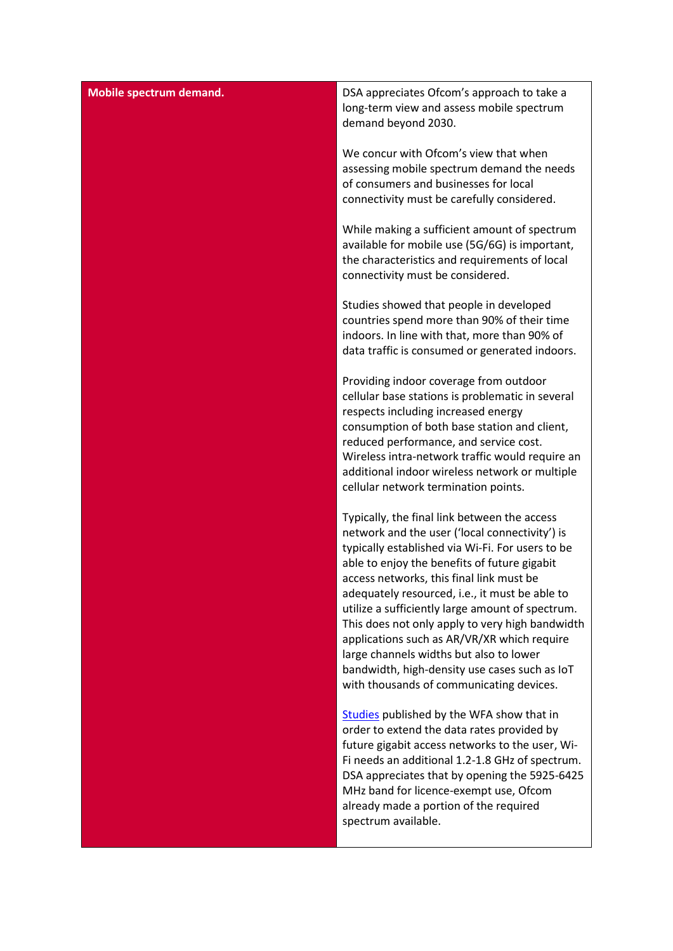| <b>Mobile spectrum demand.</b> | DSA appreciates Ofcom's approach to take a<br>long-term view and assess mobile spectrum<br>demand beyond 2030.                                                                                                                                                                                                                                                                                                                                                                                                                                                                                 |
|--------------------------------|------------------------------------------------------------------------------------------------------------------------------------------------------------------------------------------------------------------------------------------------------------------------------------------------------------------------------------------------------------------------------------------------------------------------------------------------------------------------------------------------------------------------------------------------------------------------------------------------|
|                                | We concur with Ofcom's view that when<br>assessing mobile spectrum demand the needs<br>of consumers and businesses for local<br>connectivity must be carefully considered.                                                                                                                                                                                                                                                                                                                                                                                                                     |
|                                | While making a sufficient amount of spectrum<br>available for mobile use (5G/6G) is important,<br>the characteristics and requirements of local<br>connectivity must be considered.                                                                                                                                                                                                                                                                                                                                                                                                            |
|                                | Studies showed that people in developed<br>countries spend more than 90% of their time<br>indoors. In line with that, more than 90% of<br>data traffic is consumed or generated indoors.                                                                                                                                                                                                                                                                                                                                                                                                       |
|                                | Providing indoor coverage from outdoor<br>cellular base stations is problematic in several<br>respects including increased energy<br>consumption of both base station and client,<br>reduced performance, and service cost.<br>Wireless intra-network traffic would require an<br>additional indoor wireless network or multiple<br>cellular network termination points.                                                                                                                                                                                                                       |
|                                | Typically, the final link between the access<br>network and the user ('local connectivity') is<br>typically established via Wi-Fi. For users to be<br>able to enjoy the benefits of future gigabit<br>access networks, this final link must be<br>adequately resourced, i.e., it must be able to<br>utilize a sufficiently large amount of spectrum.<br>This does not only apply to very high bandwidth<br>applications such as AR/VR/XR which require<br>large channels widths but also to lower<br>bandwidth, high-density use cases such as IoT<br>with thousands of communicating devices. |
|                                | Studies published by the WFA show that in<br>order to extend the data rates provided by<br>future gigabit access networks to the user, Wi-<br>Fi needs an additional 1.2-1.8 GHz of spectrum.<br>DSA appreciates that by opening the 5925-6425<br>MHz band for licence-exempt use, Ofcom<br>already made a portion of the required<br>spectrum available.                                                                                                                                                                                                                                      |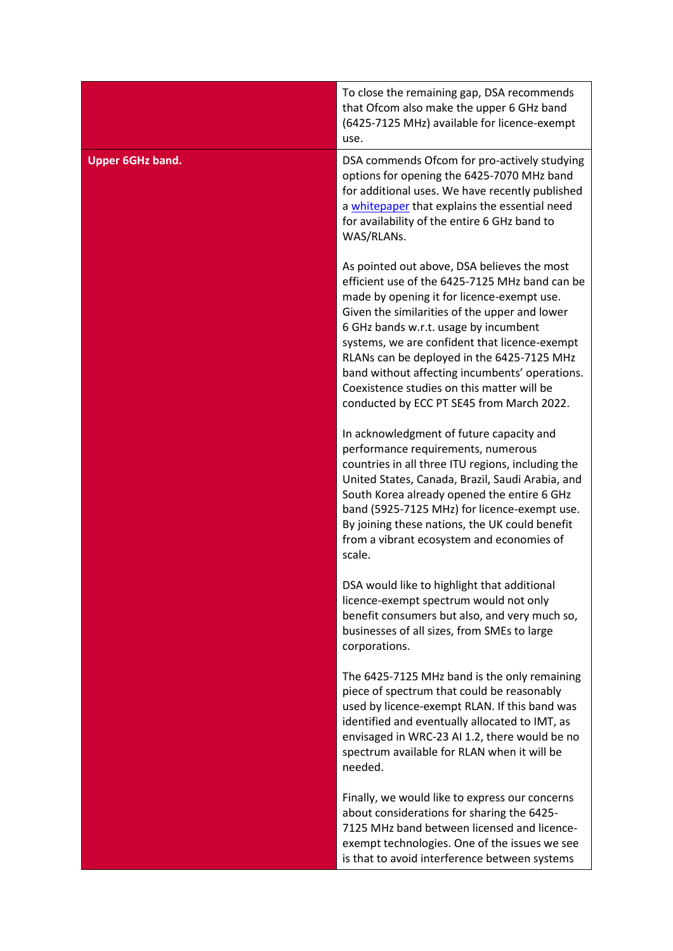|                         | To close the remaining gap, DSA recommends<br>that Ofcom also make the upper 6 GHz band<br>(6425-7125 MHz) available for licence-exempt<br>use.                                                                                                                                                                                                                                                                                                                                   |
|-------------------------|-----------------------------------------------------------------------------------------------------------------------------------------------------------------------------------------------------------------------------------------------------------------------------------------------------------------------------------------------------------------------------------------------------------------------------------------------------------------------------------|
| <b>Upper 6GHz band.</b> | DSA commends Ofcom for pro-actively studying<br>options for opening the 6425-7070 MHz band<br>for additional uses. We have recently published<br>a whitepaper that explains the essential need<br>for availability of the entire 6 GHz band to<br>WAS/RLANs.                                                                                                                                                                                                                      |
|                         | As pointed out above, DSA believes the most<br>efficient use of the 6425-7125 MHz band can be<br>made by opening it for licence-exempt use.<br>Given the similarities of the upper and lower<br>6 GHz bands w.r.t. usage by incumbent<br>systems, we are confident that licence-exempt<br>RLANs can be deployed in the 6425-7125 MHz<br>band without affecting incumbents' operations.<br>Coexistence studies on this matter will be<br>conducted by ECC PT SE45 from March 2022. |
|                         | In acknowledgment of future capacity and<br>performance requirements, numerous<br>countries in all three ITU regions, including the<br>United States, Canada, Brazil, Saudi Arabia, and<br>South Korea already opened the entire 6 GHz<br>band (5925-7125 MHz) for licence-exempt use.<br>By joining these nations, the UK could benefit<br>from a vibrant ecosystem and economies of<br>scale.                                                                                   |
|                         | DSA would like to highlight that additional<br>licence-exempt spectrum would not only<br>benefit consumers but also, and very much so,<br>businesses of all sizes, from SMEs to large<br>corporations.                                                                                                                                                                                                                                                                            |
|                         | The 6425-7125 MHz band is the only remaining<br>piece of spectrum that could be reasonably<br>used by licence-exempt RLAN. If this band was<br>identified and eventually allocated to IMT, as<br>envisaged in WRC-23 AI 1.2, there would be no<br>spectrum available for RLAN when it will be<br>needed.                                                                                                                                                                          |
|                         | Finally, we would like to express our concerns<br>about considerations for sharing the 6425-<br>7125 MHz band between licensed and licence-<br>exempt technologies. One of the issues we see<br>is that to avoid interference between systems                                                                                                                                                                                                                                     |